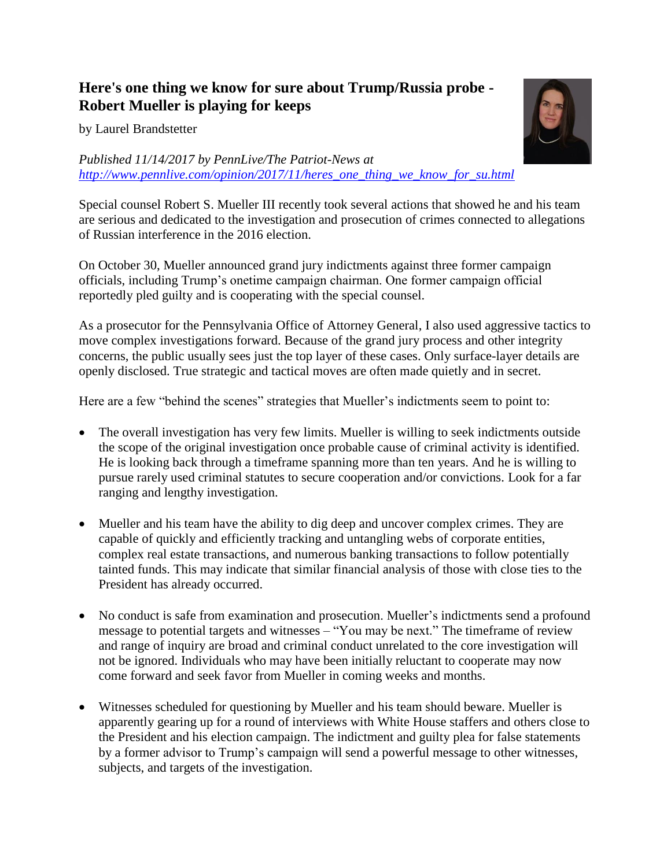## **Here's one thing we know for sure about Trump/Russia probe - Robert Mueller is playing for keeps**

by Laurel Brandstetter

## *Published 11/14/2017 by PennLive/The Patriot-News at [http://www.pennlive.com/opinion/2017/11/heres\\_one\\_thing\\_we\\_know\\_for\\_su.html](http://www.pennlive.com/opinion/2017/11/heres_one_thing_we_know_for_su.html)*

Special counsel Robert S. Mueller III recently took several actions that showed he and his team are serious and dedicated to the investigation and prosecution of crimes connected to allegations of Russian interference in the 2016 election.

On October 30, Mueller announced grand jury indictments against three former campaign officials, including Trump's onetime campaign chairman. One former campaign official reportedly pled guilty and is cooperating with the special counsel.

As a prosecutor for the Pennsylvania Office of Attorney General, I also used aggressive tactics to move complex investigations forward. Because of the grand jury process and other integrity concerns, the public usually sees just the top layer of these cases. Only surface-layer details are openly disclosed. True strategic and tactical moves are often made quietly and in secret.

Here are a few "behind the scenes" strategies that Mueller's indictments seem to point to:

- The overall investigation has very few limits. Mueller is willing to seek indictments outside the scope of the original investigation once probable cause of criminal activity is identified. He is looking back through a timeframe spanning more than ten years. And he is willing to pursue rarely used criminal statutes to secure cooperation and/or convictions. Look for a far ranging and lengthy investigation.
- Mueller and his team have the ability to dig deep and uncover complex crimes. They are capable of quickly and efficiently tracking and untangling webs of corporate entities, complex real estate transactions, and numerous banking transactions to follow potentially tainted funds. This may indicate that similar financial analysis of those with close ties to the President has already occurred.
- No conduct is safe from examination and prosecution. Mueller's indictments send a profound message to potential targets and witnesses – "You may be next." The timeframe of review and range of inquiry are broad and criminal conduct unrelated to the core investigation will not be ignored. Individuals who may have been initially reluctant to cooperate may now come forward and seek favor from Mueller in coming weeks and months.
- Witnesses scheduled for questioning by Mueller and his team should beware. Mueller is apparently gearing up for a round of interviews with White House staffers and others close to the President and his election campaign. The indictment and guilty plea for false statements by a former advisor to Trump's campaign will send a powerful message to other witnesses, subjects, and targets of the investigation.